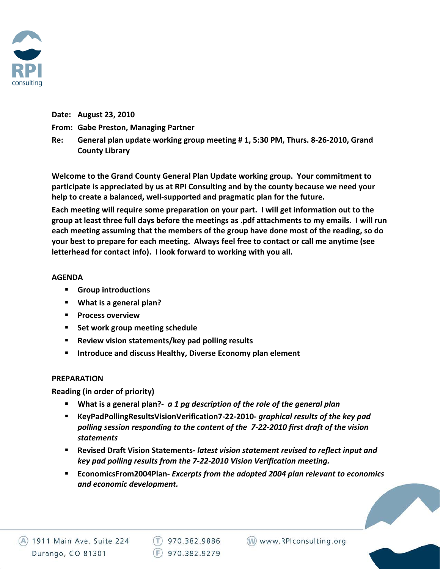

## **Date: August 23, 2010**

- **From: Gabe Preston, Managing Partner**
- **Re: General plan update working group meeting # 1, 5:30 PM, Thurs. 8‐26‐2010, Grand County Library**

**Welcome to the Grand County General Plan Update working group. Your commitment to participate is appreciated by us at RPI Consulting and by the county because we need your help to create a balanced, well‐supported and pragmatic plan for the future.** 

**Each meeting will require some preparation on your part. I will get information out to the** group at least three full days before the meetings as .pdf attachments to my emails. I will run **each meeting assuming that the members of the group have done most of the reading, so do your best to prepare for each meeting. Always feel free to contact or call me anytime (see letterhead for contact info). I look forward to working with you all.** 

## **AGENDA**

- **Group introductions**
- **What is a general plan?**
- **Process overview**
- **Set work group meeting schedule**
- **Review vision statements/key pad polling results**
- **Introduce and discuss Healthy, Diverse Economy plan element**

## **PREPARATION**

**Reading (in order of priority)**

- **What is a general plan?‐**  *a 1 pg description of the role of the general plan*
- **KeyPadPollingResultsVisionVerification7‐22‐2010‐** *graphical results of the key pad polling session responding to the content of the 7‐22‐2010 first draft of the vision statements*
- **Revised Draft Vision Statements‐** *latest vision statement revised to reflect input and key pad polling results from the 7‐22‐2010 Vision Verification meeting.*
- **EconomicsFrom2004Plan‐** *Excerpts from the adopted 2004 plan relevant to economics and economic development.*

(W) www.RPIconsulting.org